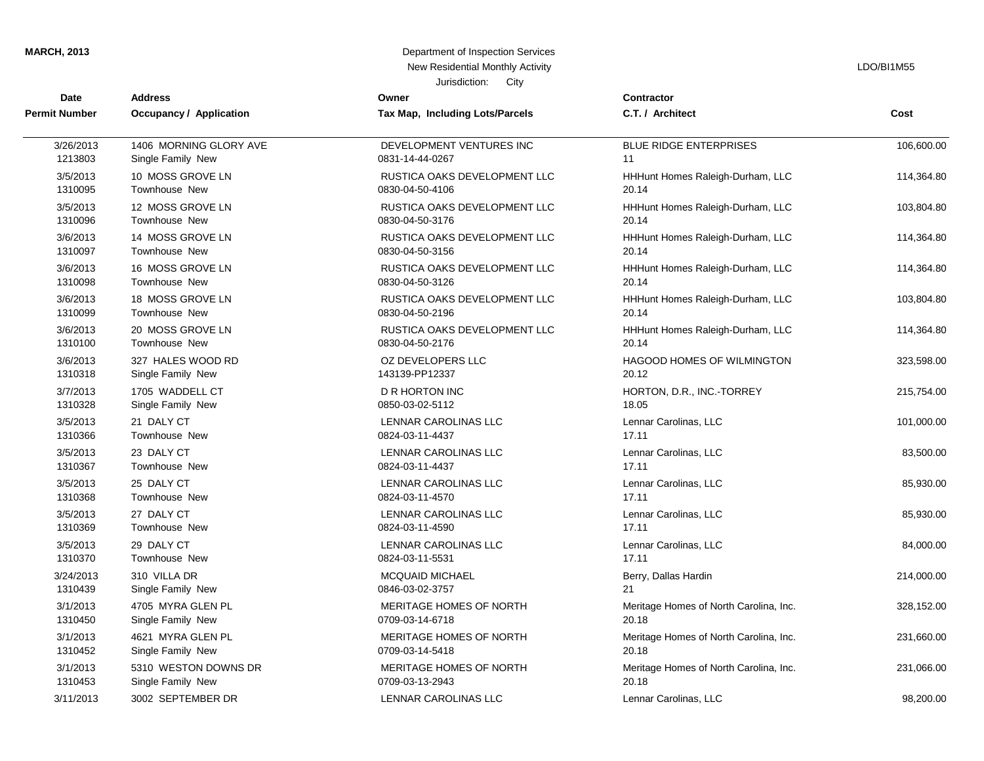| <b>MARCH, 2013</b> |  |  |
|--------------------|--|--|
|                    |  |  |

## **MARCH, 2013** Department of Inspection Services New Residential Monthly Activity **LACTION** CONSISTENT AND RESIDENT RESIDENT ASSESSED FOR A LOOMBI1M55

| <b>Date</b>          | <b>Address</b>          | Jurisdiction:<br>City<br>Owner  | <b>Contractor</b>                      |            |
|----------------------|-------------------------|---------------------------------|----------------------------------------|------------|
| <b>Permit Number</b> | Occupancy / Application | Tax Map, Including Lots/Parcels | C.T. / Architect                       | Cost       |
|                      |                         |                                 |                                        |            |
| 3/26/2013            | 1406 MORNING GLORY AVE  | DEVELOPMENT VENTURES INC        | <b>BLUE RIDGE ENTERPRISES</b>          | 106,600.00 |
| 1213803              | Single Family New       | 0831-14-44-0267                 | 11                                     |            |
| 3/5/2013             | 10 MOSS GROVE LN        | RUSTICA OAKS DEVELOPMENT LLC    | HHHunt Homes Raleigh-Durham, LLC       | 114,364.80 |
| 1310095              | <b>Townhouse New</b>    | 0830-04-50-4106                 | 20.14                                  |            |
| 3/5/2013             | 12 MOSS GROVE LN        | RUSTICA OAKS DEVELOPMENT LLC    | HHHunt Homes Raleigh-Durham, LLC       | 103,804.80 |
| 1310096              | <b>Townhouse New</b>    | 0830-04-50-3176                 | 20.14                                  |            |
| 3/6/2013             | 14 MOSS GROVE LN        | RUSTICA OAKS DEVELOPMENT LLC    | HHHunt Homes Raleigh-Durham, LLC       | 114,364.80 |
| 1310097              | <b>Townhouse New</b>    | 0830-04-50-3156                 | 20.14                                  |            |
| 3/6/2013             | 16 MOSS GROVE LN        | RUSTICA OAKS DEVELOPMENT LLC    | HHHunt Homes Raleigh-Durham, LLC       | 114,364.80 |
| 1310098              | Townhouse New           | 0830-04-50-3126                 | 20.14                                  |            |
| 3/6/2013             | 18 MOSS GROVE LN        | RUSTICA OAKS DEVELOPMENT LLC    | HHHunt Homes Raleigh-Durham, LLC       | 103,804.80 |
| 1310099              | Townhouse New           | 0830-04-50-2196                 | 20.14                                  |            |
| 3/6/2013             | 20 MOSS GROVE LN        | RUSTICA OAKS DEVELOPMENT LLC    | HHHunt Homes Raleigh-Durham, LLC       | 114,364.80 |
| 1310100              | <b>Townhouse New</b>    | 0830-04-50-2176                 | 20.14                                  |            |
| 3/6/2013             | 327 HALES WOOD RD       | OZ DEVELOPERS LLC               | <b>HAGOOD HOMES OF WILMINGTON</b>      | 323,598.00 |
| 1310318              | Single Family New       | 143139-PP12337                  | 20.12                                  |            |
| 3/7/2013             | 1705 WADDELL CT         | <b>D R HORTON INC</b>           | HORTON, D.R., INC.-TORREY              | 215,754.00 |
| 1310328              | Single Family New       | 0850-03-02-5112                 | 18.05                                  |            |
| 3/5/2013             | 21 DALY CT              | LENNAR CAROLINAS LLC            | Lennar Carolinas, LLC                  | 101,000.00 |
| 1310366              | <b>Townhouse New</b>    | 0824-03-11-4437                 | 17.11                                  |            |
| 3/5/2013             | 23 DALY CT              | <b>LENNAR CAROLINAS LLC</b>     | Lennar Carolinas, LLC                  | 83,500.00  |
| 1310367              | <b>Townhouse New</b>    | 0824-03-11-4437                 | 17.11                                  |            |
| 3/5/2013             | 25 DALY CT              | LENNAR CAROLINAS LLC            | Lennar Carolinas, LLC                  | 85,930.00  |
| 1310368              | <b>Townhouse New</b>    | 0824-03-11-4570                 | 17.11                                  |            |
| 3/5/2013             | 27 DALY CT              | <b>LENNAR CAROLINAS LLC</b>     | Lennar Carolinas, LLC                  | 85,930.00  |
| 1310369              | <b>Townhouse New</b>    | 0824-03-11-4590                 | 17.11                                  |            |
| 3/5/2013             | 29 DALY CT              | LENNAR CAROLINAS LLC            | Lennar Carolinas, LLC                  | 84,000.00  |
| 1310370              | Townhouse New           | 0824-03-11-5531                 | 17.11                                  |            |
| 3/24/2013            | 310 VILLA DR            | <b>MCQUAID MICHAEL</b>          | Berry, Dallas Hardin                   | 214,000.00 |
| 1310439              | Single Family New       | 0846-03-02-3757                 | 21                                     |            |
| 3/1/2013             | 4705 MYRA GLEN PL       | MERITAGE HOMES OF NORTH         | Meritage Homes of North Carolina, Inc. | 328,152.00 |
| 1310450              | Single Family New       | 0709-03-14-6718                 | 20.18                                  |            |
| 3/1/2013             | 4621 MYRA GLEN PL       | MERITAGE HOMES OF NORTH         | Meritage Homes of North Carolina, Inc. | 231,660.00 |
| 1310452              | Single Family New       | 0709-03-14-5418                 | 20.18                                  |            |
| 3/1/2013             | 5310 WESTON DOWNS DR    | MERITAGE HOMES OF NORTH         | Meritage Homes of North Carolina, Inc. | 231,066.00 |
| 1310453              | Single Family New       | 0709-03-13-2943                 | 20.18                                  |            |
| 3/11/2013            | 3002 SEPTEMBER DR       | <b>LENNAR CAROLINAS LLC</b>     | Lennar Carolinas, LLC                  | 98.200.00  |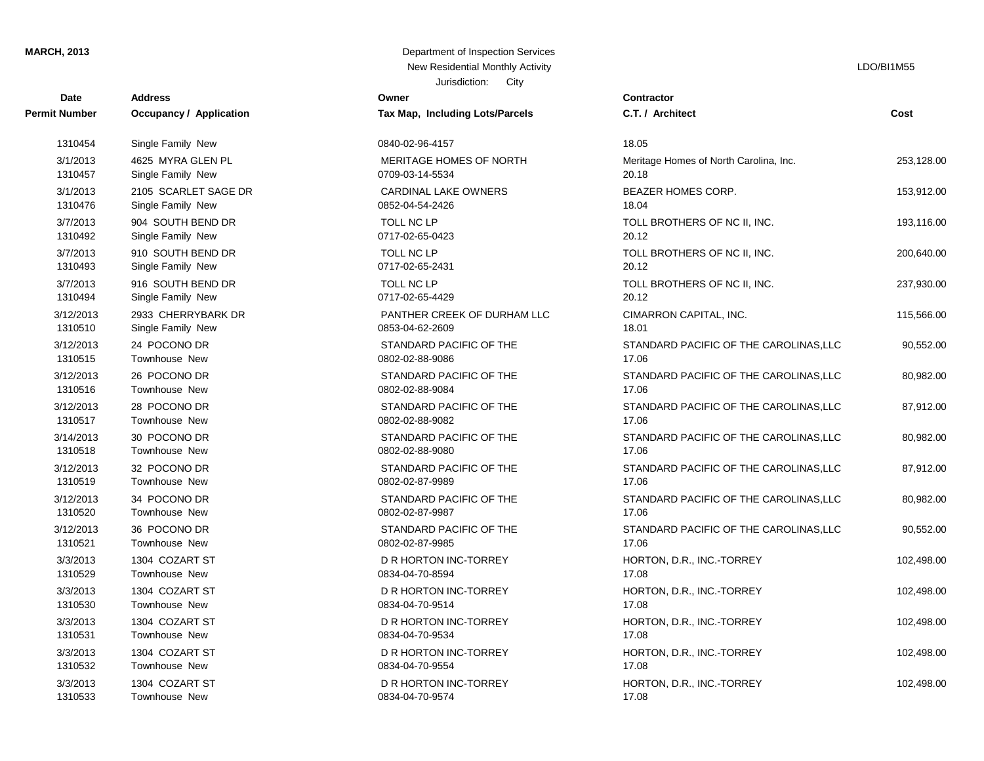| Date                 | <b>Address</b>          | Owner                           | Contractor          |
|----------------------|-------------------------|---------------------------------|---------------------|
| <b>Permit Number</b> | Occupancy / Application | Tax Map, Including Lots/Parcels | C.T. / Architect    |
| 1310454              | Single Family New       | 0840-02-96-4157                 | 18.05               |
| 3/1/2013             | 4625 MYRA GLEN PL       | MERITAGE HOMES OF NORTH         | Meritage Homes      |
| 1310457              | Single Family New       | 0709-03-14-5534                 | 20.18               |
| 3/1/2013             | 2105 SCARLET SAGE DR    | <b>CARDINAL LAKE OWNERS</b>     | <b>BEAZER HOME</b>  |
| 1310476              | Single Family New       | 0852-04-54-2426                 | 18.04               |
| 3/7/2013             | 904 SOUTH BEND DR       | <b>TOLL NC LP</b>               | <b>TOLL BROTHER</b> |
| 1310492              | Single Family New       | 0717-02-65-0423                 | 20.12               |
| 3/7/2013             | 910 SOUTH BEND DR       | TOLL NC LP                      | <b>TOLL BROTHER</b> |
| 1310493              | Single Family New       | 0717-02-65-2431                 | 20.12               |
| 3/7/2013             | 916 SOUTH BEND DR       | TOLL NC LP                      | <b>TOLL BROTHER</b> |
| 1310494              | Single Family New       | 0717-02-65-4429                 | 20.12               |
| 3/12/2013            | 2933 CHERRYBARK DR      | PANTHER CREEK OF DURHAM LLC     | <b>CIMARRON CA</b>  |
| 1310510              | Single Family New       | 0853-04-62-2609                 | 18.01               |
| 3/12/2013            | 24 POCONO DR            | STANDARD PACIFIC OF THE         | <b>STANDARD PA</b>  |
| 1310515              | Townhouse New           | 0802-02-88-9086                 | 17.06               |
| 3/12/2013            | 26 POCONO DR            | STANDARD PACIFIC OF THE         | <b>STANDARD PA</b>  |
| 1310516              | Townhouse New           | 0802-02-88-9084                 | 17.06               |
| 3/12/2013            | 28 POCONO DR            | STANDARD PACIFIC OF THE         | <b>STANDARD PA</b>  |
| 1310517              | <b>Townhouse New</b>    | 0802-02-88-9082                 | 17.06               |
| 3/14/2013            | 30 POCONO DR            | STANDARD PACIFIC OF THE         | <b>STANDARD PA</b>  |
| 1310518              | Townhouse New           | 0802-02-88-9080                 | 17.06               |
| 3/12/2013            | 32 POCONO DR            | STANDARD PACIFIC OF THE         | STANDARD PA         |
| 1310519              | Townhouse New           | 0802-02-87-9989                 | 17.06               |
| 3/12/2013            | 34 POCONO DR            | STANDARD PACIFIC OF THE         | <b>STANDARD PA</b>  |
| 1310520              | Townhouse New           | 0802-02-87-9987                 | 17.06               |
| 3/12/2013            | 36 POCONO DR            | STANDARD PACIFIC OF THE         | <b>STANDARD PA</b>  |
| 1310521              | Townhouse New           | 0802-02-87-9985                 | 17.06               |
| 3/3/2013             | 1304 COZART ST          | D R HORTON INC-TORREY           | HORTON, D.R.,       |
| 1310529              | Townhouse New           | 0834-04-70-8594                 | 17.08               |
| 3/3/2013             | 1304 COZART ST          | D R HORTON INC-TORREY           | HORTON, D.R.,       |
| 1310530              | <b>Townhouse New</b>    | 0834-04-70-9514                 | 17.08               |
| 3/3/2013             | 1304 COZART ST          | D R HORTON INC-TORREY           | HORTON, D.R.,       |
| 1310531              | Townhouse New           | 0834-04-70-9534                 | 17.08               |
| 3/3/2013             | 1304 COZART ST          | D R HORTON INC-TORREY           | HORTON, D.R.,       |
| 1310532              | Townhouse New           | 0834-04-70-9554                 | 17.08               |
| 3/3/2013             | 1304 COZART ST          | D R HORTON INC-TORREY           | HORTON, D.R.,       |
| 1310533              | Townhouse New           | 0834-04-70-9574                 | 17.08               |

### Jurisdiction: City **MARCH, 2013** Department of Inspection Services New Residential Monthly Activity LDO/BI1M55

| <b>Number</b> | Occupancy / Application | Tax Map, Including Lots/Parcels | C.T. /       |
|---------------|-------------------------|---------------------------------|--------------|
| 1310454       | Single Family New       | 0840-02-96-4157                 | 18.05        |
| 3/1/2013      | 4625 MYRA GLEN PL       | MERITAGE HOMES OF NORTH         | Merita       |
| 1310457       | Single Family New       | 0709-03-14-5534                 | 20.18        |
| 3/1/2013      | 2105 SCARLET SAGE DR    | CARDINAL LAKE OWNERS            | <b>BEAZ</b>  |
| 1310476       | Single Family New       | 0852-04-54-2426                 | 18.04        |
| 3/7/2013      | 904 SOUTH BEND DR       | <b>TOLL NC LP</b>               | <b>TOLL</b>  |
| 1310492       | Single Family New       | 0717-02-65-0423                 | 20.12        |
| 3/7/2013      | 910 SOUTH BEND DR       | TOLL NC LP                      | <b>TOLL</b>  |
| 1310493       | Single Family New       | 0717-02-65-2431                 | 20.12        |
| 3/7/2013      | 916 SOUTH BEND DR       | TOLL NC LP                      | <b>TOLL</b>  |
| 1310494       | Single Family New       | 0717-02-65-4429                 | 20.12        |
| 3/12/2013     | 2933 CHERRYBARK DR      | PANTHER CREEK OF DURHAM LLC     | <b>CIMAR</b> |
| 1310510       | Single Family New       | 0853-04-62-2609                 | 18.01        |
| 3/12/2013     | 24 POCONO DR            | STANDARD PACIFIC OF THE         | <b>STAN</b>  |
| 1310515       | <b>Townhouse New</b>    | 0802-02-88-9086                 | 17.06        |
| 3/12/2013     | 26 POCONO DR            | STANDARD PACIFIC OF THE         | <b>STAN</b>  |
| 1310516       | Townhouse New           | 0802-02-88-9084                 | 17.06        |
| 3/12/2013     | 28 POCONO DR            | STANDARD PACIFIC OF THE         | <b>STAN</b>  |
| 1310517       | Townhouse New           | 0802-02-88-9082                 | 17.06        |
| 3/14/2013     | 30 POCONO DR            | STANDARD PACIFIC OF THE         | <b>STAN</b>  |
| 1310518       | Townhouse New           | 0802-02-88-9080                 | 17.06        |
| 3/12/2013     | 32 POCONO DR            | STANDARD PACIFIC OF THE         | <b>STAN</b>  |
| 1310519       | Townhouse New           | 0802-02-87-9989                 | 17.06        |
| 3/12/2013     | 34 POCONO DR            | STANDARD PACIFIC OF THE         | <b>STAN</b>  |
| 1310520       | Townhouse New           | 0802-02-87-9987                 | 17.06        |
| 3/12/2013     | 36 POCONO DR            | STANDARD PACIFIC OF THE         | <b>STAN</b>  |
| 1310521       | Townhouse New           | 0802-02-87-9985                 | 17.06        |
| 3/3/2013      | 1304 COZART ST          | D R HORTON INC-TORREY           | <b>HORT</b>  |
| 1310529       | Townhouse New           | 0834-04-70-8594                 | 17.08        |
| 3/3/2013      | 1304 COZART ST          | D R HORTON INC-TORREY           | <b>HORT</b>  |
| 1310530       | Townhouse New           | 0834-04-70-9514                 | 17.08        |
| 3/3/2013      | 1304 COZART ST          | D R HORTON INC-TORREY           | <b>HORT</b>  |
| 1310531       | Townhouse New           | 0834-04-70-9534                 | 17.08        |
| 3/3/2013      | 1304 COZART ST          | D R HORTON INC-TORREY           | <b>HORT</b>  |
| 1310532       | Townhouse New           | 0834-04-70-9554                 | 17.08        |
| 3/3/2013      | 1304 COZART ST          | D R HORTON INC-TORREY           | <b>HORT</b>  |
| 1310533       | Townhouse New           | 0834-04-70-9574                 | 17.08        |
|               |                         |                                 |              |

# **Cost** 3/3/2013 1304 COZART ST D R HORTON INC-TORREY HORTON, D.R., INC.-TORREY 102,498.00 3/3/2013 1304 COZART ST D R HORTON INC-TORREY HORTON, D.R., INC.-TORREY 102,498.00 3/3/2013 1304 COZART ST D R HORTON INC-TORREY HORTON, D.R., INC.-TORREY 102,498.00 3/3/2013 1304 COZART ST D R HORTON INC-TORREY HORTON, D.R., INC.-TORREY 102,498.00 3/3/2013 1304 COZART ST D R HORTON INC-TORREY HORTON, D.R., INC.-TORREY 102,498.00 STANDARD PACIFIC OF THE CAROLINAS,LLC 90,552.00 STANDARD PACIFIC OF THE CAROLINAS,LLC 80,982.00 STANDARD PACIFIC OF THE CAROLINAS,LLC 87,912.00 STANDARD PACIFIC OF THE CAROLINAS, LLC 80,982.00 STANDARD PACIFIC OF THE CAROLINAS,LLC 87,912.00 STANDARD PACIFIC OF THE CAROLINAS,LLC 80,982.00 STANDARD PACIFIC OF THE CAROLINAS,LLC 90,552.00 CIMARRON CAPITAL, INC. 115,566.00 TOLL BROTHERS OF NC II, INC. 237,930.00 TOLL BROTHERS OF NC II, INC. 200,640.00 TOLL BROTHERS OF NC II, INC. 193,116.00 BEAZER HOMES CORP. 153,912.00 Meritage Homes of North Carolina, Inc. 253,128.00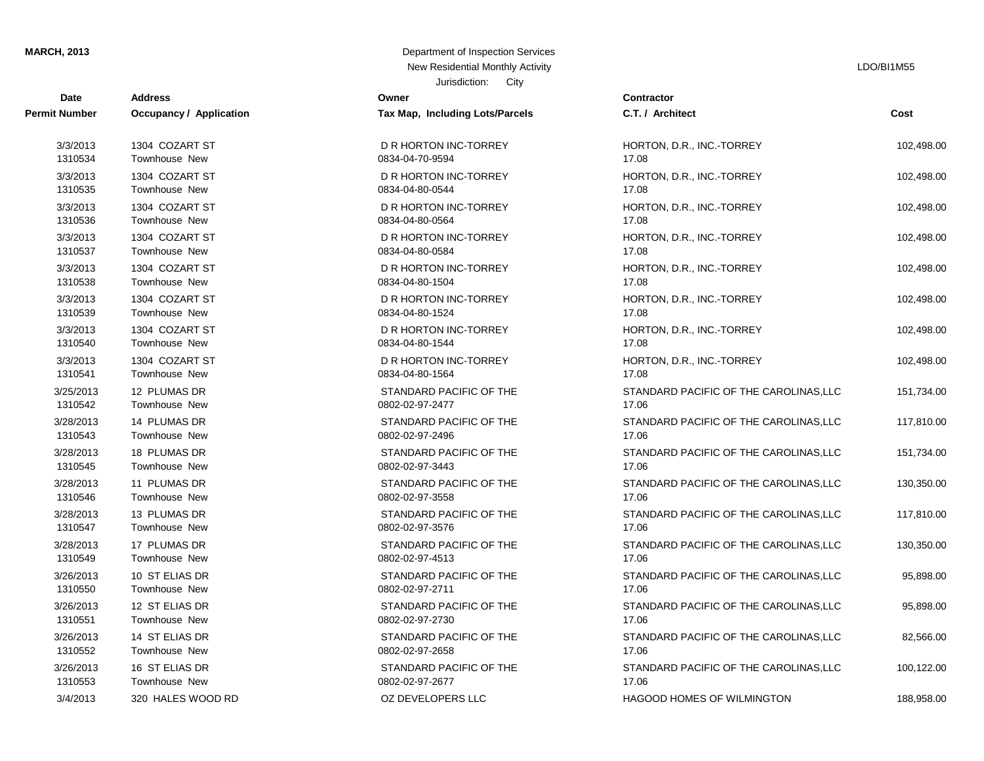| Date                 | <b>Address</b>                 | Owner                           | Contractor         |
|----------------------|--------------------------------|---------------------------------|--------------------|
| <b>Permit Number</b> | <b>Occupancy / Application</b> | Tax Map, Including Lots/Parcels | C.T. / Architect   |
| 3/3/2013             | 1304 COZART ST                 | D R HORTON INC-TORREY           | HORTON, D.R.,      |
| 1310534              | Townhouse New                  | 0834-04-70-9594                 | 17.08              |
| 3/3/2013             | 1304 COZART ST                 | D R HORTON INC-TORREY           | HORTON, D.R.,      |
| 1310535              | Townhouse New                  | 0834-04-80-0544                 | 17.08              |
| 3/3/2013             | 1304 COZART ST                 | D R HORTON INC-TORREY           | HORTON, D.R.,      |
| 1310536              | Townhouse New                  | 0834-04-80-0564                 | 17.08              |
| 3/3/2013             | 1304 COZART ST                 | D R HORTON INC-TORREY           | HORTON, D.R.,      |
| 1310537              | Townhouse New                  | 0834-04-80-0584                 | 17.08              |
| 3/3/2013             | 1304 COZART ST                 | D R HORTON INC-TORREY           | HORTON, D.R.,      |
| 1310538              | Townhouse New                  | 0834-04-80-1504                 | 17.08              |
| 3/3/2013             | 1304 COZART ST                 | D R HORTON INC-TORREY           | HORTON, D.R.,      |
| 1310539              | Townhouse New                  | 0834-04-80-1524                 | 17.08              |
| 3/3/2013             | 1304 COZART ST                 | D R HORTON INC-TORREY           | HORTON, D.R.,      |
| 1310540              | Townhouse New                  | 0834-04-80-1544                 | 17.08              |
| 3/3/2013             | 1304 COZART ST                 | D R HORTON INC-TORREY           | HORTON, D.R.,      |
| 1310541              | Townhouse New                  | 0834-04-80-1564                 | 17.08              |
| 3/25/2013            | 12 PLUMAS DR                   | STANDARD PACIFIC OF THE         | <b>STANDARD PA</b> |
| 1310542              | Townhouse New                  | 0802-02-97-2477                 | 17.06              |
| 3/28/2013            | 14 PLUMAS DR                   | STANDARD PACIFIC OF THE         | <b>STANDARD PA</b> |
| 1310543              | Townhouse New                  | 0802-02-97-2496                 | 17.06              |
| 3/28/2013            | 18 PLUMAS DR                   | STANDARD PACIFIC OF THE         | <b>STANDARD PA</b> |
| 1310545              | Townhouse New                  | 0802-02-97-3443                 | 17.06              |
| 3/28/2013            | 11 PLUMAS DR                   | STANDARD PACIFIC OF THE         | <b>STANDARD PA</b> |
| 1310546              | Townhouse New                  | 0802-02-97-3558                 | 17.06              |
| 3/28/2013            | 13 PLUMAS DR                   | STANDARD PACIFIC OF THE         | <b>STANDARD PA</b> |
| 1310547              | Townhouse New                  | 0802-02-97-3576                 | 17.06              |
| 3/28/2013            | 17 PLUMAS DR                   | STANDARD PACIFIC OF THE         | STANDARD PA        |
| 1310549              | Townhouse New                  | 0802-02-97-4513                 | 17.06              |
| 3/26/2013            | 10 ST ELIAS DR                 | STANDARD PACIFIC OF THE         | <b>STANDARD PA</b> |
| 1310550              | Townhouse New                  | 0802-02-97-2711                 | 17.06              |
| 3/26/2013            | 12 ST ELIAS DR                 | STANDARD PACIFIC OF THE         | <b>STANDARD PA</b> |
| 1310551              | Townhouse New                  | 0802-02-97-2730                 | 17.06              |
| 3/26/2013            | 14 ST ELIAS DR                 | STANDARD PACIFIC OF THE         | <b>STANDARD PA</b> |
| 1310552              | Townhouse New                  | 0802-02-97-2658                 | 17.06              |
| 3/26/2013            | 16 ST ELIAS DR                 | STANDARD PACIFIC OF THE         | <b>STANDARD PA</b> |
| 1310553              | Townhouse New                  | 0802-02-97-2677                 | 17.06              |
| 0110012              | 220 LIAI ER MOOD PD            | $\Omega$ DEVEL ODE DR II C      | LIACOOD LIOMI      |

### Jurisdiction: City **MARCH, 2013** Department of Inspection Services New Residential Monthly Activity LDO/BI1M55

|                 | Tax Map, Including Lots/Parcels |
|-----------------|---------------------------------|
| 0834-04-70-9594 | D R HORTON INC-TORREY           |
| 0834-04-80-0544 | D R HORTON INC-TORREY           |
| 0834-04-80-0564 | D R HORTON INC-TORREY           |
| 0834-04-80-0584 | D R HORTON INC-TORREY           |
| 0834-04-80-1504 | D R HORTON INC-TORREY           |
| 0834-04-80-1524 | D R HORTON INC-TORREY           |
| 0834-04-80-1544 | D R HORTON INC-TORREY           |
| 0834-04-80-1564 | D R HORTON INC-TORREY           |
| 0802-02-97-2477 | STANDARD PACIFIC OF THE         |
| 0802-02-97-2496 | STANDARD PACIFIC OF THE         |
| 0802-02-97-3443 | STANDARD PACIFIC OF THE         |
| 0802-02-97-3558 | STANDARD PACIFIC OF THE         |
| 0802-02-97-3576 | STANDARD PACIFIC OF THE         |
| 0802-02-97-4513 | STANDARD PACIFIC OF THE         |
| 0802-02-97-2711 | STANDARD PACIFIC OF THE         |
| 0802-02-97-2730 | STANDARD PACIFIC OF THE         |
| 0802-02-97-2658 | STANDARD PACIFIC OF THE         |
| 0802-02-97-2677 | STANDARD PACIFIC OF THE         |
|                 | OZ DEVELOPERS LLC               |

# **Cost** 3/4/2013 320 HALES WOOD RD OZ DEVELOPERS LLC HAGOOD HOMES OF WILMINGTON 188,958.00 STANDARD PACIFIC OF THE CAROLINAS,LLC 100,122.00 STANDARD PACIFIC OF THE CAROLINAS,LLC 82,566.00 STANDARD PACIFIC OF THE CAROLINAS, LLC 95,898.00 STANDARD PACIFIC OF THE CAROLINAS, LLC 95,898.00 STANDARD PACIFIC OF THE CAROLINAS,LLC 130,350.00 STANDARD PACIFIC OF THE CAROLINAS, LLC 117,810.00 STANDARD PACIFIC OF THE CAROLINAS, LLC 130,350.00 STANDARD PACIFIC OF THE CAROLINAS.LLC 151,734.00 STANDARD PACIFIC OF THE CAROLINAS, LLC 117,810.00 STANDARD PACIFIC OF THE CAROLINAS,LLC 151,734.00 3/3/2013 1304 COZART ST D R HORTON INC-TORREY HORTON, D.R., INC.-TORREY 102,498.00 3/3/2013 1304 COZART ST D R HORTON INC-TORREY HORTON, D.R., INC.-TORREY 102,498.00 3/3/2013 1304 COZART ST D R HORTON INC-TORREY HORTON, D.R., INC.-TORREY 102,498.00 3/3/2013 1304 COZART ST D R HORTON INC-TORREY HORTON, D.R., INC.-TORREY 102,498.00 3/3/2013 1304 COZART ST D R HORTON INC-TORREY HORTON, D.R., INC.-TORREY 102,498.00 3/3/2013 1304 COZART ST D R HORTON INC-TORREY HORTON, D.R., INC.-TORREY 102,498.00 3/3/2013 1304 COZART ST D R HORTON INC-TORREY HORTON, D.R., INC.-TORREY 102,498.00 3/3/2013 1304 COZART ST D R HORTON INC-TORREY HORTON, D.R., INC.-TORREY 102,498.00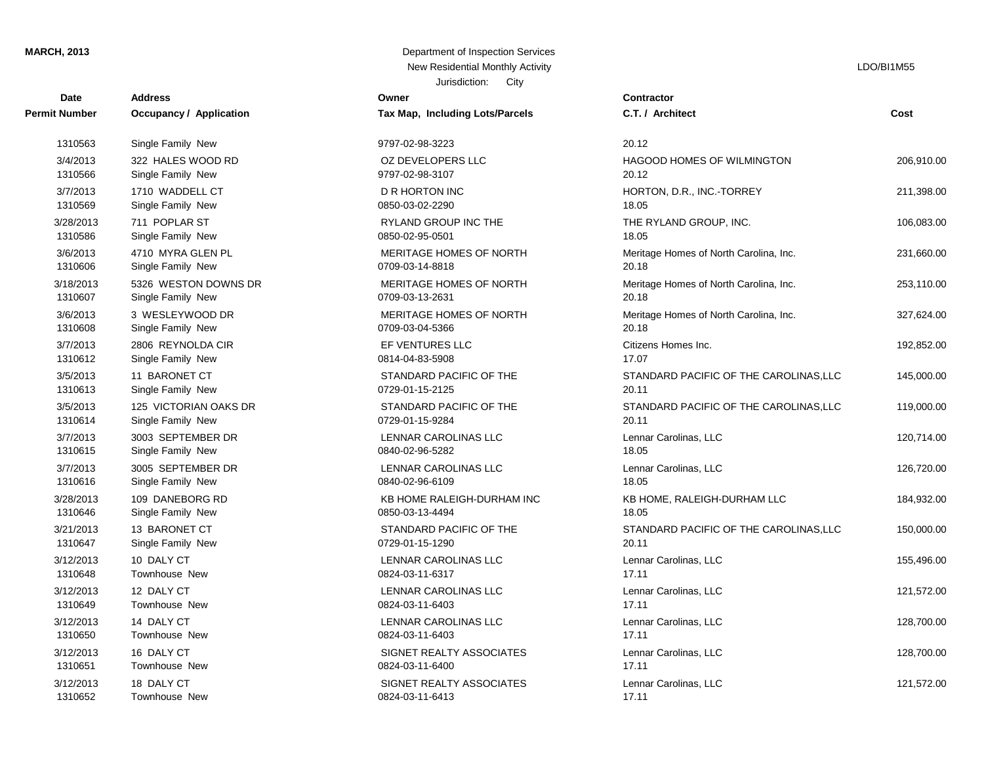### **MARCH, 2013** Department of Inspection Services

| Date                 | <b>Address</b>          | Owner                           | Contractor      |
|----------------------|-------------------------|---------------------------------|-----------------|
| <b>Permit Number</b> | Occupancy / Application | Tax Map, Including Lots/Parcels | C.T. / Arch     |
| 1310563              | Single Family New       | 9797-02-98-3223                 | 20.12           |
| 3/4/2013             | 322 HALES WOOD RD       | OZ DEVELOPERS LLC               | HAGOOD I        |
| 1310566              | Single Family New       | 9797-02-98-3107                 | 20.12           |
| 3/7/2013             | 1710 WADDELL CT         | D R HORTON INC                  | HORTON,         |
| 1310569              | Single Family New       | 0850-03-02-2290                 | 18.05           |
| 3/28/2013            | 711 POPLAR ST           | <b>RYLAND GROUP INC THE</b>     | THE RYLA        |
| 1310586              | Single Family New       | 0850-02-95-0501                 | 18.05           |
| 3/6/2013             | 4710 MYRA GLEN PL       | MERITAGE HOMES OF NORTH         | Meritage H      |
| 1310606              | Single Family New       | 0709-03-14-8818                 | 20.18           |
| 3/18/2013            | 5326 WESTON DOWNS DR    | MERITAGE HOMES OF NORTH         | Meritage H      |
| 1310607              | Single Family New       | 0709-03-13-2631                 | 20.18           |
| 3/6/2013             | 3 WESLEYWOOD DR         | MERITAGE HOMES OF NORTH         | Meritage H      |
| 1310608              | Single Family New       | 0709-03-04-5366                 | 20.18           |
| 3/7/2013             | 2806 REYNOLDA CIR       | EF VENTURES LLC                 | Citizens Ho     |
| 1310612              | Single Family New       | 0814-04-83-5908                 | 17.07           |
| 3/5/2013             | 11 BARONET CT           | STANDARD PACIFIC OF THE         | <b>STANDARI</b> |
| 1310613              | Single Family New       | 0729-01-15-2125                 | 20.11           |
| 3/5/2013             | 125 VICTORIAN OAKS DR   | STANDARD PACIFIC OF THE         | <b>STANDARI</b> |
| 1310614              | Single Family New       | 0729-01-15-9284                 | 20.11           |
| 3/7/2013             | 3003 SEPTEMBER DR       | <b>LENNAR CAROLINAS LLC</b>     | Lennar Car      |
| 1310615              | Single Family New       | 0840-02-96-5282                 | 18.05           |
| 3/7/2013             | 3005 SEPTEMBER DR       | <b>LENNAR CAROLINAS LLC</b>     | Lennar Car      |
| 1310616              | Single Family New       | 0840-02-96-6109                 | 18.05           |
| 3/28/2013            | 109 DANEBORG RD         | KB HOME RALEIGH-DURHAM INC      | KB HOME,        |
| 1310646              | Single Family New       | 0850-03-13-4494                 | 18.05           |
| 3/21/2013            | 13 BARONET CT           | STANDARD PACIFIC OF THE         | <b>STANDARI</b> |
| 1310647              | Single Family New       | 0729-01-15-1290                 | 20.11           |
| 3/12/2013            | 10 DALY CT              | LENNAR CAROLINAS LLC            | Lennar Car      |
| 1310648              | Townhouse New           | 0824-03-11-6317                 | 17.11           |
| 3/12/2013            | 12 DALY CT              | LENNAR CAROLINAS LLC            | Lennar Car      |
| 1310649              | Townhouse New           | 0824-03-11-6403                 | 17.11           |
| 3/12/2013            | 14 DALY CT              | LENNAR CAROLINAS LLC            | Lennar Car      |
| 1310650              | Townhouse New           | 0824-03-11-6403                 | 17.11           |
| 3/12/2013            | 16 DALY CT              | SIGNET REALTY ASSOCIATES        | Lennar Car      |
| 1310651              | Townhouse New           | 0824-03-11-6400                 | 17.11           |
| 3/12/2013            | 18 DALY CT              | SIGNET REALTY ASSOCIATES        | Lennar Car      |
| 1310652              | Townhouse New           | 0824-03-11-6413                 | 17.11           |

## Jurisdiction: City **Owner Tax Map, Including Lots/Parcels** 0824-03-11-6400 SIGNET REALTY ASSOCIATES 0824-03-11-6403 SIGNET REALTY ASSOCIATES 0824-03-11-6403 LENNAR CAROLINAS LLC 0824-03-11-6317 LENNAR CAROLINAS LLC 0729-01-15-1290 LENNAR CAROLINAS LLC 0850-03-13-4494 STANDARD PACIFIC OF THE 0840-02-96-6109 KB HOME RALEIGH-DURHAM INC 0840-02-96-5282 LENNAR CAROLINAS LLC 0729-01-15-9284 LENNAR CAROLINAS LLC 0729-01-15-2125 STANDARD PACIFIC OF THE 0814-04-83-5908 STANDARD PACIFIC OF THE 0709-03-04-5366 0709-03-13-2631 MERITAGE HOMES OF NORTH 0709-03-14-8818 MERITAGE HOMES OF NORTH 0850-02-95-0501 MERITAGE HOMES OF NORTH 0850-03-02-2290 RYLAND GROUP INC THE 9797-02-98-3107 9797-02-98-3223 OZ DEVELOPERS LLC

### New Residential Monthly Activity **Little Structure of the CONS** and CONSINUES **LDO**/BI1M55

| Date      | Address                 | ∪wner                           | ∪ontractor                             |            |
|-----------|-------------------------|---------------------------------|----------------------------------------|------------|
| Number    | Occupancy / Application | Tax Map, Including Lots/Parcels | C.T. / Architect                       | Cost       |
| 1310563   | Single Family New       | 9797-02-98-3223                 | 20.12                                  |            |
| 3/4/2013  | 322 HALES WOOD RD       | OZ DEVELOPERS LLC               | HAGOOD HOMES OF WILMINGTON             | 206,910.00 |
| 1310566   | Single Family New       | 9797-02-98-3107                 | 20.12                                  |            |
| 3/7/2013  | 1710 WADDELL CT         | <b>D R HORTON INC</b>           | HORTON, D.R., INC.-TORREY              | 211,398.00 |
| 1310569   | Single Family New       | 0850-03-02-2290                 | 18.05                                  |            |
| 3/28/2013 | 711 POPLAR ST           | RYLAND GROUP INC THE            | THE RYLAND GROUP, INC.                 | 106,083.00 |
| 1310586   | Single Family New       | 0850-02-95-0501                 | 18.05                                  |            |
| 3/6/2013  | 4710 MYRA GLEN PL       | MERITAGE HOMES OF NORTH         | Meritage Homes of North Carolina, Inc. | 231,660.00 |
| 1310606   | Single Family New       | 0709-03-14-8818                 | 20.18                                  |            |
| 3/18/2013 | 5326 WESTON DOWNS DR    | MERITAGE HOMES OF NORTH         | Meritage Homes of North Carolina, Inc. | 253,110.00 |
| 1310607   | Single Family New       | 0709-03-13-2631                 | 20.18                                  |            |
| 3/6/2013  | 3 WESLEYWOOD DR         | MERITAGE HOMES OF NORTH         | Meritage Homes of North Carolina, Inc. | 327,624.00 |
| 1310608   | Single Family New       | 0709-03-04-5366                 | 20.18                                  |            |
| 3/7/2013  | 2806 REYNOLDA CIR       | EF VENTURES LLC                 | Citizens Homes Inc.                    | 192,852.00 |
| 1310612   | Single Family New       | 0814-04-83-5908                 | 17.07                                  |            |
| 3/5/2013  | 11 BARONET CT           | STANDARD PACIFIC OF THE         | STANDARD PACIFIC OF THE CAROLINAS, LLC | 145,000.00 |
| 1310613   | Single Family New       | 0729-01-15-2125                 | 20.11                                  |            |
| 3/5/2013  | 125 VICTORIAN OAKS DR   | STANDARD PACIFIC OF THE         | STANDARD PACIFIC OF THE CAROLINAS, LLC | 119,000.00 |
| 1310614   | Single Family New       | 0729-01-15-9284                 | 20.11                                  |            |
| 3/7/2013  | 3003 SEPTEMBER DR       | <b>LENNAR CAROLINAS LLC</b>     | Lennar Carolinas, LLC                  | 120,714.00 |
| 1310615   | Single Family New       | 0840-02-96-5282                 | 18.05                                  |            |
| 3/7/2013  | 3005 SEPTEMBER DR       | LENNAR CAROLINAS LLC            | Lennar Carolinas, LLC                  | 126,720.00 |
| 1310616   | Single Family New       | 0840-02-96-6109                 | 18.05                                  |            |
| 3/28/2013 | 109 DANEBORG RD         | KB HOME RALEIGH-DURHAM INC      | KB HOME, RALEIGH-DURHAM LLC            | 184,932.00 |
| 1310646   | Single Family New       | 0850-03-13-4494                 | 18.05                                  |            |
| 3/21/2013 | 13 BARONET CT           | STANDARD PACIFIC OF THE         | STANDARD PACIFIC OF THE CAROLINAS, LLC | 150,000.00 |
| 1310647   | Single Family New       | 0729-01-15-1290                 | 20.11                                  |            |
| 3/12/2013 | 10 DALY CT              | LENNAR CAROLINAS LLC            | Lennar Carolinas, LLC                  | 155,496.00 |
| 1310648   | Townhouse New           | 0824-03-11-6317                 | 17.11                                  |            |
| 3/12/2013 | 12 DALY CT              | LENNAR CAROLINAS LLC            | Lennar Carolinas, LLC                  | 121,572.00 |
| 1310649   | Townhouse New           | 0824-03-11-6403                 | 17.11                                  |            |
| 3/12/2013 | 14 DALY CT              | LENNAR CAROLINAS LLC            | Lennar Carolinas, LLC                  | 128,700.00 |
| 1310650   | Townhouse New           | 0824-03-11-6403                 | 17.11                                  |            |
| 3/12/2013 | 16 DALY CT              | SIGNET REALTY ASSOCIATES        | Lennar Carolinas, LLC                  | 128,700.00 |
| 1310651   | Townhouse New           | 0824-03-11-6400                 | 17.11                                  |            |
| 3/12/2013 | 18 DALY CT              | SIGNET REALTY ASSOCIATES        | Lennar Carolinas, LLC                  | 121,572.00 |
| 1310652   | <b>Townhouse New</b>    | 0824-03-11-6413                 | 17.11                                  |            |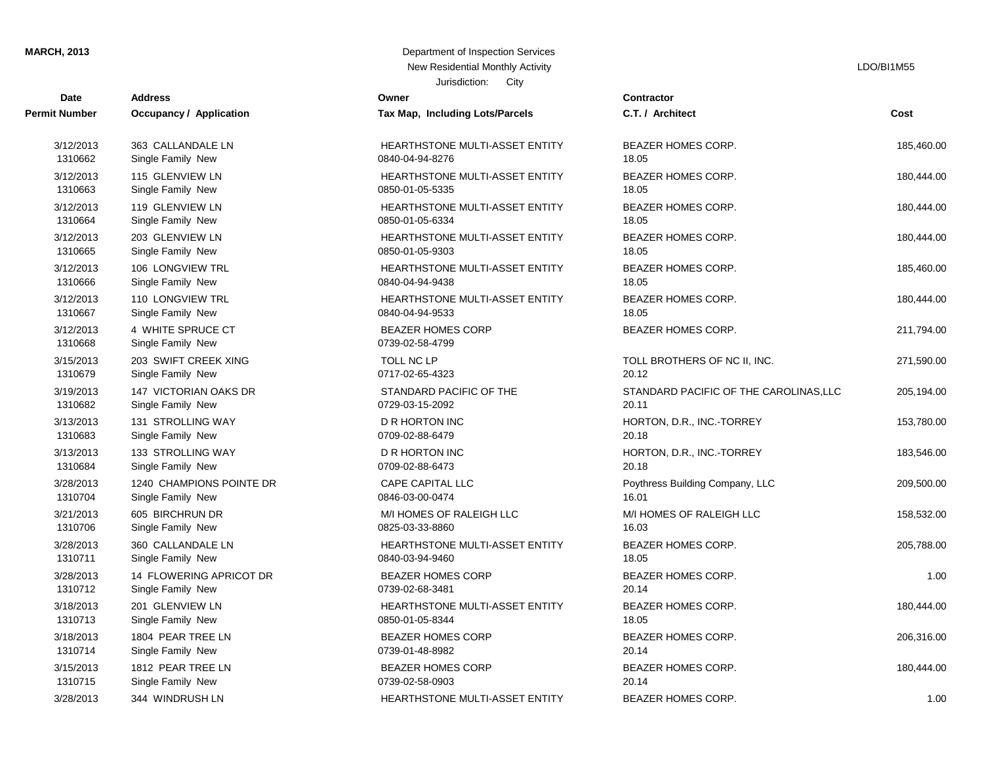### **MARCH, 2013**

| <b>Date</b>          | <b>Address</b>           | Owner                                 | <b>Contractor</b>   |
|----------------------|--------------------------|---------------------------------------|---------------------|
| <b>Permit Number</b> | Occupancy / Application  | Tax Map, Including Lots/Parcels       | C.T. / Architect    |
| 3/12/2013            | 363 CALLANDALE LN        | HEARTHSTONE MULTI-ASSET ENTITY        | <b>BEAZER HOME</b>  |
| 1310662              | Single Family New        | 0840-04-94-8276                       | 18.05               |
| 3/12/2013            | 115 GLENVIEW LN          | <b>HEARTHSTONE MULTI-ASSET ENTITY</b> | <b>BEAZER HOME</b>  |
| 1310663              | Single Family New        | 0850-01-05-5335                       | 18.05               |
| 3/12/2013            | 119 GLENVIEW LN          | <b>HEARTHSTONE MULTI-ASSET ENTITY</b> | <b>BEAZER HOME</b>  |
| 1310664              | Single Family New        | 0850-01-05-6334                       | 18.05               |
| 3/12/2013            | 203 GLENVIEW LN          | HEARTHSTONE MULTI-ASSET ENTITY        | <b>BEAZER HOME</b>  |
| 1310665              | Single Family New        | 0850-01-05-9303                       | 18.05               |
| 3/12/2013            | 106 LONGVIEW TRL         | HEARTHSTONE MULTI-ASSET ENTITY        | <b>BEAZER HOME</b>  |
| 1310666              | Single Family New        | 0840-04-94-9438                       | 18.05               |
| 3/12/2013            | 110 LONGVIEW TRL         | HEARTHSTONE MULTI-ASSET ENTITY        | <b>BEAZER HOME</b>  |
| 1310667              | Single Family New        | 0840-04-94-9533                       | 18.05               |
| 3/12/2013            | 4 WHITE SPRUCE CT        | <b>BEAZER HOMES CORP</b>              | <b>BEAZER HOME</b>  |
| 1310668              | Single Family New        | 0739-02-58-4799                       |                     |
| 3/15/2013            | 203 SWIFT CREEK XING     | <b>TOLL NC LP</b>                     | <b>TOLL BROTHER</b> |
| 1310679              | Single Family New        | 0717-02-65-4323                       | 20.12               |
| 3/19/2013            | 147 VICTORIAN OAKS DR    | STANDARD PACIFIC OF THE               | <b>STANDARD PA</b>  |
| 1310682              | Single Family New        | 0729-03-15-2092                       | 20.11               |
| 3/13/2013            | 131 STROLLING WAY        | <b>D R HORTON INC</b>                 | HORTON, D.R.,       |
| 1310683              | Single Family New        | 0709-02-88-6479                       | 20.18               |
| 3/13/2013            | 133 STROLLING WAY        | D R HORTON INC                        | HORTON, D.R.,       |
| 1310684              | Single Family New        | 0709-02-88-6473                       | 20.18               |
| 3/28/2013            | 1240 CHAMPIONS POINTE DR | <b>CAPE CAPITAL LLC</b>               | Poythress Buildi    |
| 1310704              | Single Family New        | 0846-03-00-0474                       | 16.01               |
| 3/21/2013            | 605 BIRCHRUN DR          | M/I HOMES OF RALEIGH LLC              | M/I HOMES OF        |
| 1310706              | Single Family New        | 0825-03-33-8860                       | 16.03               |
| 3/28/2013            | 360 CALLANDALE LN        | HEARTHSTONE MULTI-ASSET ENTITY        | <b>BEAZER HOME</b>  |
| 1310711              | Single Family New        | 0840-03-94-9460                       | 18.05               |
| 3/28/2013            | 14 FLOWERING APRICOT DR  | <b>BEAZER HOMES CORP</b>              | <b>BEAZER HOME</b>  |
| 1310712              | Single Family New        | 0739-02-68-3481                       | 20.14               |
| 3/18/2013            | 201 GLENVIEW LN          | HEARTHSTONE MULTI-ASSET ENTITY        | <b>BEAZER HOME</b>  |
| 1310713              | Single Family New        | 0850-01-05-8344                       | 18.05               |
| 3/18/2013            | 1804 PEAR TREE LN        | <b>BEAZER HOMES CORP</b>              | <b>BEAZER HOME</b>  |
| 1310714              | Single Family New        | 0739-01-48-8982                       | 20.14               |
| 3/15/2013            | 1812 PEAR TREE LN        | <b>BEAZER HOMES CORP</b>              | <b>BEAZER HOME</b>  |
| 1310715              | Single Family New        | 0739-02-58-0903                       | 20.14               |
|                      |                          |                                       |                     |

| Department of Inspection Services<br>New Residential Monthly Activity |
|-----------------------------------------------------------------------|
| Jurisdiction:<br>City                                                 |
| wner                                                                  |
| ax Map, Including Lots/Parcels                                        |
|                                                                       |
| <b>IEARTHSTONE MULTI-ASSET ENTITY</b><br>340-04-94-8276               |
| <b>IEARTHSTONE MULTI-ASSET ENTITY</b><br>350-01-05-5335               |
| IEARTHSTONE MULTI-ASSET ENTITY<br>350-01-05-6334                      |
| <b>IEARTHSTONE MULTI-ASSET ENTITY</b><br>350-01-05-9303               |
| <b>IEARTHSTONE MULTI-ASSET ENTITY</b><br>340-04-94-9438               |
| <b>IEARTHSTONE MULTI-ASSET ENTITY</b><br>340-04-94-9533               |
| BEAZER HOMES CORP<br>739-02-58-4799                                   |
| OLL NC LP<br>717-02-65-4323                                           |
| <b>TANDARD PACIFIC OF THE</b><br>729-03-15-2092                       |
| R HORTON INC<br>709-02-88-6479                                        |
| ) R HORTON INC<br>709-02-88-6473                                      |
| <b>CAPE CAPITAL LLC</b><br>346-03-00-0474                             |
|                                                                       |

LDO/BI1M55

| Date                 | Address                                | owner                                       | Contractor                             |            |
|----------------------|----------------------------------------|---------------------------------------------|----------------------------------------|------------|
| it Number            | Occupancy / Application                | Tax Map, Including Lots/Parcels             | C.T. / Architect                       | Cost       |
| 3/12/2013            | 363 CALLANDALE LN                      | HEARTHSTONE MULTI-ASSET ENTITY              | BEAZER HOMES CORP.                     | 185,460.00 |
| 1310662              | Single Family New                      | 0840-04-94-8276                             | 18.05                                  |            |
| 3/12/2013            | 115 GLENVIEW LN                        | HEARTHSTONE MULTI-ASSET ENTITY              | BEAZER HOMES CORP.                     | 180,444.00 |
| 1310663              | Single Family New                      | 0850-01-05-5335                             | 18.05                                  |            |
| 3/12/2013            | 119 GLENVIEW LN                        | HEARTHSTONE MULTI-ASSET ENTITY              | <b>BEAZER HOMES CORP.</b>              | 180,444.00 |
| 1310664              | Single Family New                      | 0850-01-05-6334                             | 18.05                                  |            |
| 3/12/2013            | 203 GLENVIEW LN                        | HEARTHSTONE MULTI-ASSET ENTITY              | BEAZER HOMES CORP.                     | 180,444.00 |
| 1310665              | Single Family New                      | 0850-01-05-9303                             | 18.05                                  |            |
| 3/12/2013            | 106 LONGVIEW TRL                       | HEARTHSTONE MULTI-ASSET ENTITY              | <b>BEAZER HOMES CORP.</b>              | 185,460.00 |
| 1310666              | Single Family New                      | 0840-04-94-9438                             | 18.05                                  |            |
| 3/12/2013            | 110 LONGVIEW TRL                       | HEARTHSTONE MULTI-ASSET ENTITY              | BEAZER HOMES CORP.                     | 180,444.00 |
| 1310667              | Single Family New                      | 0840-04-94-9533                             | 18.05                                  |            |
| 3/12/2013<br>1310668 | 4 WHITE SPRUCE CT<br>Single Family New | <b>BEAZER HOMES CORP</b><br>0739-02-58-4799 | <b>BEAZER HOMES CORP.</b>              | 211,794.00 |
| 3/15/2013            | 203 SWIFT CREEK XING                   | TOLL NC LP                                  | TOLL BROTHERS OF NC II, INC.           | 271,590.00 |
| 1310679              | Single Family New                      | 0717-02-65-4323                             | 20.12                                  |            |
| 3/19/2013            | 147 VICTORIAN OAKS DR                  | STANDARD PACIFIC OF THE                     | STANDARD PACIFIC OF THE CAROLINAS, LLC | 205,194.00 |
| 1310682              | Single Family New                      | 0729-03-15-2092                             | 20.11                                  |            |
| 3/13/2013            | 131 STROLLING WAY                      | <b>D R HORTON INC</b>                       | HORTON, D.R., INC.-TORREY              | 153,780.00 |
| 1310683              | Single Family New                      | 0709-02-88-6479                             | 20.18                                  |            |
| 3/13/2013            | 133 STROLLING WAY                      | <b>D R HORTON INC</b>                       | HORTON, D.R., INC.-TORREY              | 183,546.00 |
| 1310684              | Single Family New                      | 0709-02-88-6473                             | 20.18                                  |            |
| 3/28/2013            | 1240 CHAMPIONS POINTE DR               | <b>CAPE CAPITAL LLC</b>                     | Poythress Building Company, LLC        | 209,500.00 |
| 1310704              | Single Family New                      | 0846-03-00-0474                             | 16.01                                  |            |
| 3/21/2013            | 605 BIRCHRUN DR                        | M/I HOMES OF RALEIGH LLC                    | M/I HOMES OF RALEIGH LLC               | 158,532.00 |
| 1310706              | Single Family New                      | 0825-03-33-8860                             | 16.03                                  |            |
| 3/28/2013            | 360 CALLANDALE LN                      | HEARTHSTONE MULTI-ASSET ENTITY              | <b>BEAZER HOMES CORP.</b>              | 205,788.00 |
| 1310711              | Single Family New                      | 0840-03-94-9460                             | 18.05                                  |            |
| 3/28/2013            | 14 FLOWERING APRICOT DR                | <b>BEAZER HOMES CORP</b>                    | BEAZER HOMES CORP.                     | 1.00       |
| 1310712              | Single Family New                      | 0739-02-68-3481                             | 20.14                                  |            |
| 3/18/2013            | 201 GLENVIEW LN                        | HEARTHSTONE MULTI-ASSET ENTITY              | <b>BEAZER HOMES CORP.</b>              | 180,444.00 |
| 1310713              | Single Family New                      | 0850-01-05-8344                             | 18.05                                  |            |
| 3/18/2013            | 1804 PEAR TREE LN                      | <b>BEAZER HOMES CORP</b>                    | BEAZER HOMES CORP.                     | 206,316.00 |
| 1310714              | Single Family New                      | 0739-01-48-8982                             | 20.14                                  |            |
| 3/15/2013            | 1812 PEAR TREE LN                      | <b>BEAZER HOMES CORP</b>                    | <b>BEAZER HOMES CORP.</b>              | 180,444.00 |
| 1310715              | Single Family New                      | 0739-02-58-0903                             | 20.14                                  |            |
| 3/28/2013            | 344 WINDRUSH LN                        | <b>HEARTHSTONE MULTI-ASSET ENTITY</b>       | <b>BEAZER HOMES CORP.</b>              | 1.00       |